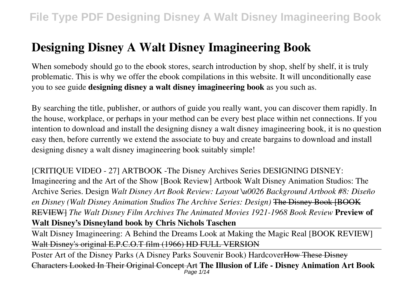# **Designing Disney A Walt Disney Imagineering Book**

When somebody should go to the ebook stores, search introduction by shop, shelf by shelf, it is truly problematic. This is why we offer the ebook compilations in this website. It will unconditionally ease you to see guide **designing disney a walt disney imagineering book** as you such as.

By searching the title, publisher, or authors of guide you really want, you can discover them rapidly. In the house, workplace, or perhaps in your method can be every best place within net connections. If you intention to download and install the designing disney a walt disney imagineering book, it is no question easy then, before currently we extend the associate to buy and create bargains to download and install designing disney a walt disney imagineering book suitably simple!

[CRITIQUE VIDEO - 27] ARTBOOK -The Disney Archives Series DESIGNING DISNEY: Imagineering and the Art of the Show [Book Review] Artbook Walt Disney Animation Studios: The Archive Series. Design *Walt Disney Art Book Review: Layout \u0026 Background Artbook #8: Diseño en Disney (Walt Disney Animation Studios The Archive Series: Design)* The Disney Book [BOOK REVIEW] *The Walt Disney Film Archives The Animated Movies 1921-1968 Book Review* **Preview of Walt Disney's Disneyland book by Chris Nichols Taschen**

Walt Disney Imagineering: A Behind the Dreams Look at Making the Magic Real [BOOK REVIEW] Walt Disney's original E.P.C.O.T film (1966) HD FULL VERSION

Poster Art of the Disney Parks (A Disney Parks Souvenir Book) HardcoverHow These Disney Characters Looked In Their Original Concept Art **The Illusion of Life - Disney Animation Art Book** Page 1/14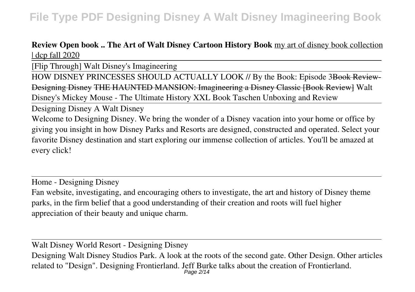#### **Review Open book .. The Art of Walt Disney Cartoon History Book** my art of disney book collection | dcp fall 2020

[Flip Through] Walt Disney's Imagineering

HOW DISNEY PRINCESSES SHOULD ACTUALLY LOOK // By the Book: Episode 3Book Review-Designing Disney THE HAUNTED MANSION: Imagineering a Disney Classic [Book Review] Walt Disney's Mickey Mouse - The Ultimate History XXL Book Taschen Unboxing and Review

Designing Disney A Walt Disney

Welcome to Designing Disney. We bring the wonder of a Disney vacation into your home or office by giving you insight in how Disney Parks and Resorts are designed, constructed and operated. Select your favorite Disney destination and start exploring our immense collection of articles. You'll be amazed at every click!

Home - Designing Disney

Fan website, investigating, and encouraging others to investigate, the art and history of Disney theme parks, in the firm belief that a good understanding of their creation and roots will fuel higher appreciation of their beauty and unique charm.

Walt Disney World Resort - Designing Disney

Designing Walt Disney Studios Park. A look at the roots of the second gate. Other Design. Other articles related to "Design". Designing Frontierland. Jeff Burke talks about the creation of Frontierland. Page 2/14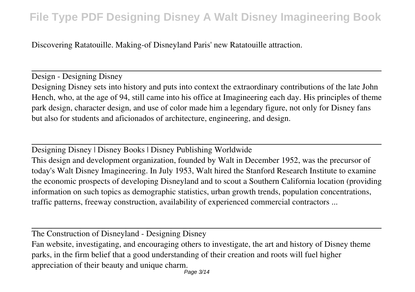Discovering Ratatouille. Making-of Disneyland Paris' new Ratatouille attraction.

Design - Designing Disney Designing Disney sets into history and puts into context the extraordinary contributions of the late John Hench, who, at the age of 94, still came into his office at Imagineering each day. His principles of theme park design, character design, and use of color made him a legendary figure, not only for Disney fans but also for students and aficionados of architecture, engineering, and design.

Designing Disney | Disney Books | Disney Publishing Worldwide This design and development organization, founded by Walt in December 1952, was the precursor of today's Walt Disney Imagineering. In July 1953, Walt hired the Stanford Research Institute to examine the economic prospects of developing Disneyland and to scout a Southern California location (providing information on such topics as demographic statistics, urban growth trends, population concentrations, traffic patterns, freeway construction, availability of experienced commercial contractors ...

The Construction of Disneyland - Designing Disney

Fan website, investigating, and encouraging others to investigate, the art and history of Disney theme parks, in the firm belief that a good understanding of their creation and roots will fuel higher appreciation of their beauty and unique charm.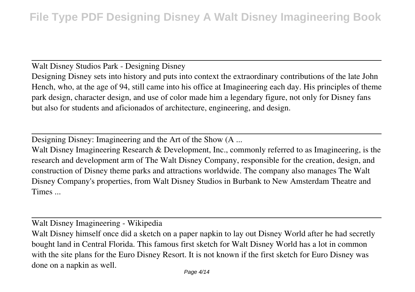Walt Disney Studios Park - Designing Disney

Designing Disney sets into history and puts into context the extraordinary contributions of the late John Hench, who, at the age of 94, still came into his office at Imagineering each day. His principles of theme park design, character design, and use of color made him a legendary figure, not only for Disney fans but also for students and aficionados of architecture, engineering, and design.

Designing Disney: Imagineering and the Art of the Show (A ...

Walt Disney Imagineering Research & Development, Inc., commonly referred to as Imagineering, is the research and development arm of The Walt Disney Company, responsible for the creation, design, and construction of Disney theme parks and attractions worldwide. The company also manages The Walt Disney Company's properties, from Walt Disney Studios in Burbank to New Amsterdam Theatre and Times ...

Walt Disney Imagineering - Wikipedia

Walt Disney himself once did a sketch on a paper napkin to lay out Disney World after he had secretly bought land in Central Florida. This famous first sketch for Walt Disney World has a lot in common with the site plans for the Euro Disney Resort. It is not known if the first sketch for Euro Disney was done on a napkin as well.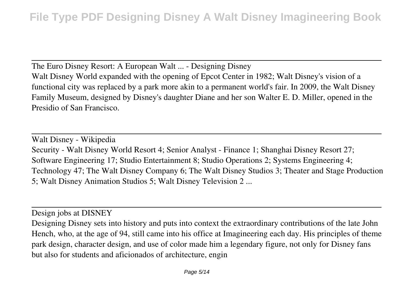The Euro Disney Resort: A European Walt ... - Designing Disney Walt Disney World expanded with the opening of Epcot Center in 1982; Walt Disney's vision of a functional city was replaced by a park more akin to a permanent world's fair. In 2009, the Walt Disney Family Museum, designed by Disney's daughter Diane and her son Walter E. D. Miller, opened in the Presidio of San Francisco.

Walt Disney - Wikipedia Security - Walt Disney World Resort 4; Senior Analyst - Finance 1; Shanghai Disney Resort 27; Software Engineering 17; Studio Entertainment 8; Studio Operations 2; Systems Engineering 4; Technology 47; The Walt Disney Company 6; The Walt Disney Studios 3; Theater and Stage Production 5; Walt Disney Animation Studios 5; Walt Disney Television 2 ...

Design jobs at DISNEY

Designing Disney sets into history and puts into context the extraordinary contributions of the late John Hench, who, at the age of 94, still came into his office at Imagineering each day. His principles of theme park design, character design, and use of color made him a legendary figure, not only for Disney fans but also for students and aficionados of architecture, engin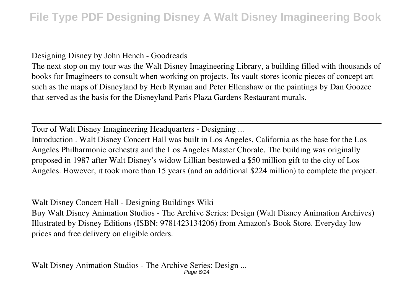Designing Disney by John Hench - Goodreads

The next stop on my tour was the Walt Disney Imagineering Library, a building filled with thousands of books for Imagineers to consult when working on projects. Its vault stores iconic pieces of concept art such as the maps of Disneyland by Herb Ryman and Peter Ellenshaw or the paintings by Dan Goozee that served as the basis for the Disneyland Paris Plaza Gardens Restaurant murals.

Tour of Walt Disney Imagineering Headquarters - Designing ...

Introduction . Walt Disney Concert Hall was built in Los Angeles, California as the base for the Los Angeles Philharmonic orchestra and the Los Angeles Master Chorale. The building was originally proposed in 1987 after Walt Disney's widow Lillian bestowed a \$50 million gift to the city of Los Angeles. However, it took more than 15 years (and an additional \$224 million) to complete the project.

Walt Disney Concert Hall - Designing Buildings Wiki Buy Walt Disney Animation Studios - The Archive Series: Design (Walt Disney Animation Archives) Illustrated by Disney Editions (ISBN: 9781423134206) from Amazon's Book Store. Everyday low prices and free delivery on eligible orders.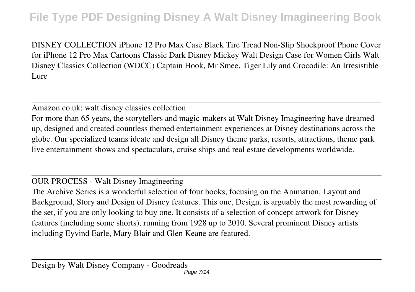DISNEY COLLECTION iPhone 12 Pro Max Case Black Tire Tread Non-Slip Shockproof Phone Cover for iPhone 12 Pro Max Cartoons Classic Dark Disney Mickey Walt Design Case for Women Girls Walt Disney Classics Collection (WDCC) Captain Hook, Mr Smee, Tiger Lily and Crocodile: An Irresistible Lure

Amazon.co.uk: walt disney classics collection

For more than 65 years, the storytellers and magic-makers at Walt Disney Imagineering have dreamed up, designed and created countless themed entertainment experiences at Disney destinations across the globe. Our specialized teams ideate and design all Disney theme parks, resorts, attractions, theme park live entertainment shows and spectaculars, cruise ships and real estate developments worldwide.

OUR PROCESS - Walt Disney Imagineering

The Archive Series is a wonderful selection of four books, focusing on the Animation, Layout and Background, Story and Design of Disney features. This one, Design, is arguably the most rewarding of the set, if you are only looking to buy one. It consists of a selection of concept artwork for Disney features (including some shorts), running from 1928 up to 2010. Several prominent Disney artists including Eyvind Earle, Mary Blair and Glen Keane are featured.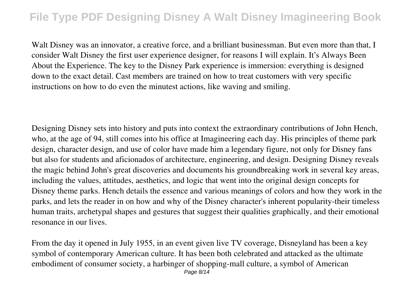Walt Disney was an innovator, a creative force, and a brilliant businessman. But even more than that, I consider Walt Disney the first user experience designer, for reasons I will explain. It's Always Been About the Experience. The key to the Disney Park experience is immersion: everything is designed down to the exact detail. Cast members are trained on how to treat customers with very specific instructions on how to do even the minutest actions, like waving and smiling.

Designing Disney sets into history and puts into context the extraordinary contributions of John Hench, who, at the age of 94, still comes into his office at Imagineering each day. His principles of theme park design, character design, and use of color have made him a legendary figure, not only for Disney fans but also for students and aficionados of architecture, engineering, and design. Designing Disney reveals the magic behind John's great discoveries and documents his groundbreaking work in several key areas, including the values, attitudes, aesthetics, and logic that went into the original design concepts for Disney theme parks. Hench details the essence and various meanings of colors and how they work in the parks, and lets the reader in on how and why of the Disney character's inherent popularity-their timeless human traits, archetypal shapes and gestures that suggest their qualities graphically, and their emotional resonance in our lives.

From the day it opened in July 1955, in an event given live TV coverage, Disneyland has been a key symbol of contemporary American culture. It has been both celebrated and attacked as the ultimate embodiment of consumer society, a harbinger of shopping-mall culture, a symbol of American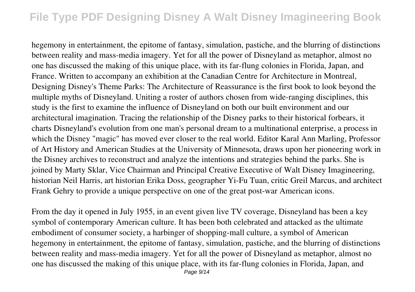hegemony in entertainment, the epitome of fantasy, simulation, pastiche, and the blurring of distinctions between reality and mass-media imagery. Yet for all the power of Disneyland as metaphor, almost no one has discussed the making of this unique place, with its far-flung colonies in Florida, Japan, and France. Written to accompany an exhibition at the Canadian Centre for Architecture in Montreal, Designing Disney's Theme Parks: The Architecture of Reassurance is the first book to look beyond the multiple myths of Disneyland. Uniting a roster of authors chosen from wide-ranging disciplines, this study is the first to examine the influence of Disneyland on both our built environment and our architectural imagination. Tracing the relationship of the Disney parks to their historical forbears, it charts Disneyland's evolution from one man's personal dream to a multinational enterprise, a process in which the Disney "magic" has moved ever closer to the real world. Editor Karal Ann Marling, Professor of Art History and American Studies at the University of Minnesota, draws upon her pioneering work in the Disney archives to reconstruct and analyze the intentions and strategies behind the parks. She is joined by Marty Sklar, Vice Chairman and Principal Creative Executive of Walt Disney Imagineering, historian Neil Harris, art historian Erika Doss, geographer Yi-Fu Tuan, critic Greil Marcus, and architect Frank Gehry to provide a unique perspective on one of the great post-war American icons.

From the day it opened in July 1955, in an event given live TV coverage, Disneyland has been a key symbol of contemporary American culture. It has been both celebrated and attacked as the ultimate embodiment of consumer society, a harbinger of shopping-mall culture, a symbol of American hegemony in entertainment, the epitome of fantasy, simulation, pastiche, and the blurring of distinctions between reality and mass-media imagery. Yet for all the power of Disneyland as metaphor, almost no one has discussed the making of this unique place, with its far-flung colonies in Florida, Japan, and Page  $9/14$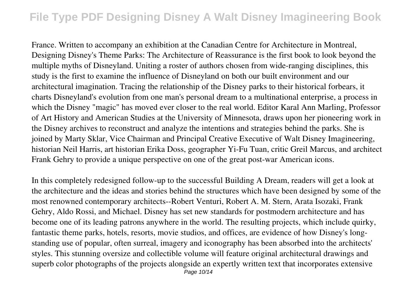France. Written to accompany an exhibition at the Canadian Centre for Architecture in Montreal, Designing Disney's Theme Parks: The Architecture of Reassurance is the first book to look beyond the multiple myths of Disneyland. Uniting a roster of authors chosen from wide-ranging disciplines, this study is the first to examine the influence of Disneyland on both our built environment and our architectural imagination. Tracing the relationship of the Disney parks to their historical forbears, it charts Disneyland's evolution from one man's personal dream to a multinational enterprise, a process in which the Disney "magic" has moved ever closer to the real world. Editor Karal Ann Marling, Professor of Art History and American Studies at the University of Minnesota, draws upon her pioneering work in the Disney archives to reconstruct and analyze the intentions and strategies behind the parks. She is joined by Marty Sklar, Vice Chairman and Principal Creative Executive of Walt Disney Imagineering, historian Neil Harris, art historian Erika Doss, geographer Yi-Fu Tuan, critic Greil Marcus, and architect Frank Gehry to provide a unique perspective on one of the great post-war American icons.

In this completely redesigned follow-up to the successful Building A Dream, readers will get a look at the architecture and the ideas and stories behind the structures which have been designed by some of the most renowned contemporary architects--Robert Venturi, Robert A. M. Stern, Arata Isozaki, Frank Gehry, Aldo Rossi, and Michael. Disney has set new standards for postmodern architecture and has become one of its leading patrons anywhere in the world. The resulting projects, which include quirky, fantastic theme parks, hotels, resorts, movie studios, and offices, are evidence of how Disney's longstanding use of popular, often surreal, imagery and iconography has been absorbed into the architects' styles. This stunning oversize and collectible volume will feature original architectural drawings and superb color photographs of the projects alongside an expertly written text that incorporates extensive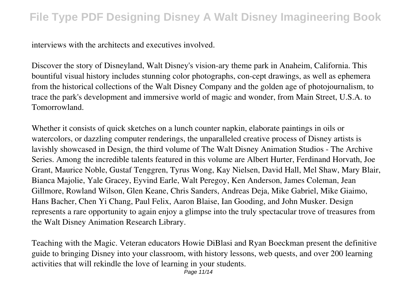interviews with the architects and executives involved.

Discover the story of Disneyland, Walt Disney's vision-ary theme park in Anaheim, California. This bountiful visual history includes stunning color photographs, con-cept drawings, as well as ephemera from the historical collections of the Walt Disney Company and the golden age of photojournalism, to trace the park's development and immersive world of magic and wonder, from Main Street, U.S.A. to Tomorrowland.

Whether it consists of quick sketches on a lunch counter napkin, elaborate paintings in oils or watercolors, or dazzling computer renderings, the unparalleled creative process of Disney artists is lavishly showcased in Design, the third volume of The Walt Disney Animation Studios - The Archive Series. Among the incredible talents featured in this volume are Albert Hurter, Ferdinand Horvath, Joe Grant, Maurice Noble, Gustaf Tenggren, Tyrus Wong, Kay Nielsen, David Hall, Mel Shaw, Mary Blair, Bianca Majolie, Yale Gracey, Eyvind Earle, Walt Peregoy, Ken Anderson, James Coleman, Jean Gillmore, Rowland Wilson, Glen Keane, Chris Sanders, Andreas Deja, Mike Gabriel, Mike Giaimo, Hans Bacher, Chen Yi Chang, Paul Felix, Aaron Blaise, Ian Gooding, and John Musker. Design represents a rare opportunity to again enjoy a glimpse into the truly spectacular trove of treasures from the Walt Disney Animation Research Library.

Teaching with the Magic. Veteran educators Howie DiBlasi and Ryan Boeckman present the definitive guide to bringing Disney into your classroom, with history lessons, web quests, and over 200 learning activities that will rekindle the love of learning in your students.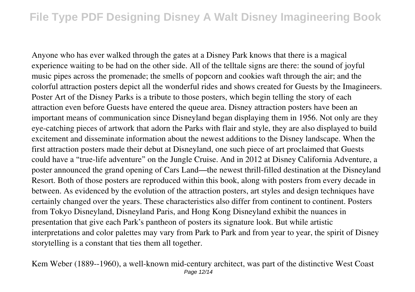Anyone who has ever walked through the gates at a Disney Park knows that there is a magical experience waiting to be had on the other side. All of the telltale signs are there: the sound of joyful music pipes across the promenade; the smells of popcorn and cookies waft through the air; and the colorful attraction posters depict all the wonderful rides and shows created for Guests by the Imagineers. Poster Art of the Disney Parks is a tribute to those posters, which begin telling the story of each attraction even before Guests have entered the queue area. Disney attraction posters have been an important means of communication since Disneyland began displaying them in 1956. Not only are they eye-catching pieces of artwork that adorn the Parks with flair and style, they are also displayed to build excitement and disseminate information about the newest additions to the Disney landscape. When the first attraction posters made their debut at Disneyland, one such piece of art proclaimed that Guests could have a "true-life adventure" on the Jungle Cruise. And in 2012 at Disney California Adventure, a poster announced the grand opening of Cars Land—the newest thrill-filled destination at the Disneyland Resort. Both of those posters are reproduced within this book, along with posters from every decade in between. As evidenced by the evolution of the attraction posters, art styles and design techniques have certainly changed over the years. These characteristics also differ from continent to continent. Posters from Tokyo Disneyland, Disneyland Paris, and Hong Kong Disneyland exhibit the nuances in presentation that give each Park's pantheon of posters its signature look. But while artistic interpretations and color palettes may vary from Park to Park and from year to year, the spirit of Disney storytelling is a constant that ties them all together.

Kem Weber (1889--1960), a well-known mid-century architect, was part of the distinctive West Coast Page 12/14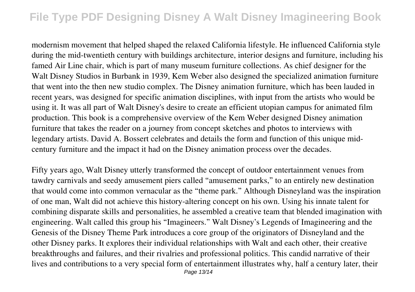modernism movement that helped shaped the relaxed California lifestyle. He influenced California style during the mid-twentieth century with buildings architecture, interior designs and furniture, including his famed Air Line chair, which is part of many museum furniture collections. As chief designer for the Walt Disney Studios in Burbank in 1939, Kem Weber also designed the specialized animation furniture that went into the then new studio complex. The Disney animation furniture, which has been lauded in recent years, was designed for specific animation disciplines, with input from the artists who would be using it. It was all part of Walt Disney's desire to create an efficient utopian campus for animated film production. This book is a comprehensive overview of the Kem Weber designed Disney animation furniture that takes the reader on a journey from concept sketches and photos to interviews with legendary artists. David A. Bossert celebrates and details the form and function of this unique midcentury furniture and the impact it had on the Disney animation process over the decades.

Fifty years ago, Walt Disney utterly transformed the concept of outdoor entertainment venues from tawdry carnivals and seedy amusement piers called "amusement parks," to an entirely new destination that would come into common vernacular as the "theme park." Although Disneyland was the inspiration of one man, Walt did not achieve this history-altering concept on his own. Using his innate talent for combining disparate skills and personalities, he assembled a creative team that blended imagination with engineering. Walt called this group his "Imagineers." Walt Disney's Legends of Imagineering and the Genesis of the Disney Theme Park introduces a core group of the originators of Disneyland and the other Disney parks. It explores their individual relationships with Walt and each other, their creative breakthroughs and failures, and their rivalries and professional politics. This candid narrative of their lives and contributions to a very special form of entertainment illustrates why, half a century later, their Page 13/14